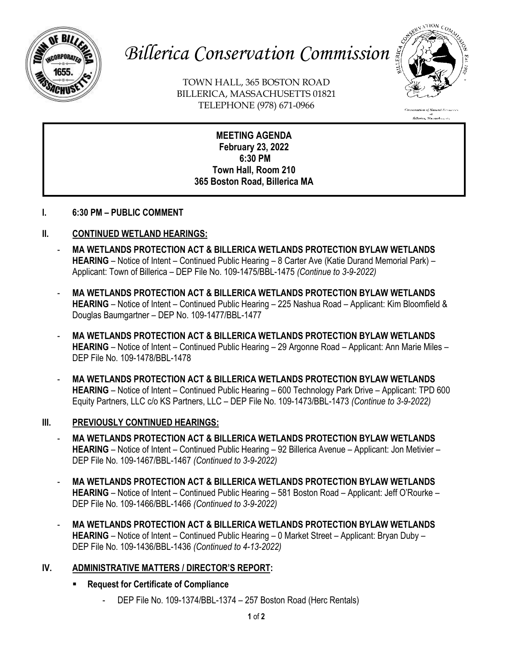

# *Billerica Conservation Commission*

TOWN HALL, 365 BOSTON ROAD BILLERICA, MASSACHUSETTS 01821 TELEPHONE (978) 671-0966



n<br>Billerica, Massachusetts

**MEETING AGENDA February 23, 2022 6:30 PM Town Hall, Room 210 365 Boston Road, Billerica MA**

### **I. 6:30 PM – PUBLIC COMMENT**

### **II. CONTINUED WETLAND HEARINGS:**

- **MA WETLANDS PROTECTION ACT & BILLERICA WETLANDS PROTECTION BYLAW WETLANDS HEARING** – Notice of Intent – Continued Public Hearing – 8 Carter Ave (Katie Durand Memorial Park) – Applicant: Town of Billerica – DEP File No. 109-1475/BBL-1475 *(Continue to 3-9-2022)*
- **MA WETLANDS PROTECTION ACT & BILLERICA WETLANDS PROTECTION BYLAW WETLANDS HEARING** – Notice of Intent – Continued Public Hearing – 225 Nashua Road – Applicant: Kim Bloomfield & Douglas Baumgartner – DEP No. 109-1477/BBL-1477
- **MA WETLANDS PROTECTION ACT & BILLERICA WETLANDS PROTECTION BYLAW WETLANDS HEARING** – Notice of Intent – Continued Public Hearing – 29 Argonne Road – Applicant: Ann Marie Miles – DEP File No. 109-1478/BBL-1478
- **MA WETLANDS PROTECTION ACT & BILLERICA WETLANDS PROTECTION BYLAW WETLANDS HEARING** – Notice of Intent – Continued Public Hearing – 600 Technology Park Drive – Applicant: TPD 600 Equity Partners, LLC c/o KS Partners, LLC – DEP File No. 109-1473/BBL-1473 *(Continue to 3-9-2022)*

### **III. PREVIOUSLY CONTINUED HEARINGS:**

- **MA WETLANDS PROTECTION ACT & BILLERICA WETLANDS PROTECTION BYLAW WETLANDS HEARING** – Notice of Intent – Continued Public Hearing – 92 Billerica Avenue – Applicant: Jon Metivier – DEP File No. 109-1467/BBL-1467 *(Continued to 3-9-2022)*
- **MA WETLANDS PROTECTION ACT & BILLERICA WETLANDS PROTECTION BYLAW WETLANDS HEARING** – Notice of Intent – Continued Public Hearing – 581 Boston Road – Applicant: Jeff O'Rourke – DEP File No. 109-1466/BBL-1466 *(Continued to 3-9-2022)*
- **MA WETLANDS PROTECTION ACT & BILLERICA WETLANDS PROTECTION BYLAW WETLANDS HEARING** – Notice of Intent – Continued Public Hearing – 0 Market Street – Applicant: Bryan Duby – DEP File No. 109-1436/BBL-1436 *(Continued to 4-13-2022)*

### **IV. ADMINISTRATIVE MATTERS / DIRECTOR'S REPORT:**

- **Request for Certificate of Compliance** 
	- DEP File No. 109-1374/BBL-1374 257 Boston Road (Herc Rentals)